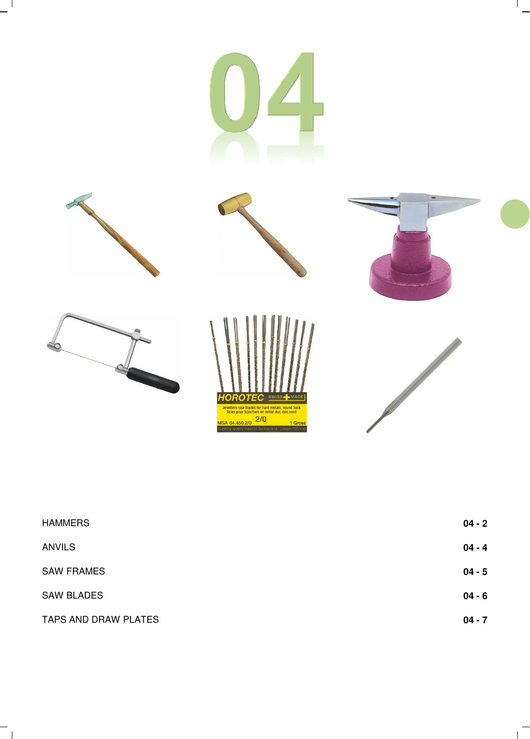

 $-$ <sup>1</sup>

 $\overline{\phantom{a}}$ 

| <b>HAMMERS</b>       | $04 - 2$ |
|----------------------|----------|
| <b>ANVILS</b>        | $04 - 4$ |
| <b>SAW FRAMES</b>    | $04 - 5$ |
| <b>SAW BLADES</b>    | $04 - 6$ |
| TAPS AND DRAW PLATES | $04 - 7$ |

 $\overline{1}$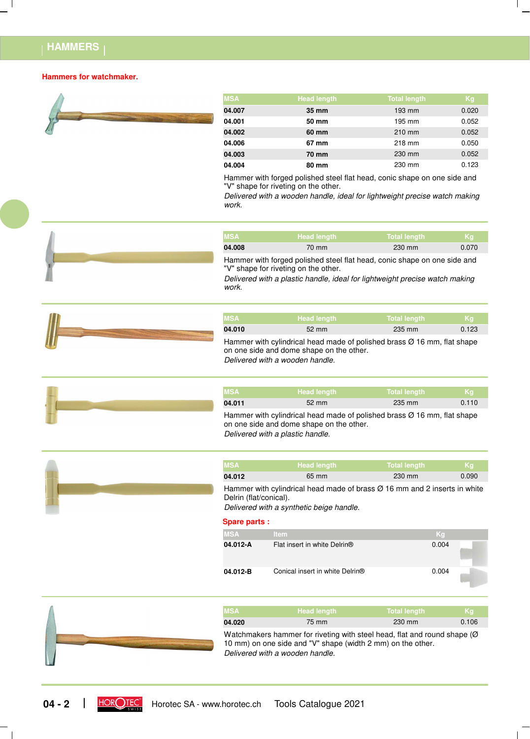### **HAMMERS**

#### **Hammers for watchmaker.**



| <b>MSA</b> | <b>Head length</b> | <b>Total length</b> | Kg    |
|------------|--------------------|---------------------|-------|
| 04.007     | 35 mm              | 193 mm              | 0.020 |
| 04.001     | 50 mm              | 195 mm              | 0.052 |
| 04.002     | 60 mm              | 210 mm              | 0.052 |
| 04.006     | 67 mm              | 218 mm              | 0.050 |
| 04.003     | 70 mm              | 230 mm              | 0.052 |
| 04.004     | 80 mm              | 230 mm              | 0.123 |

Hammer with forged polished steel flat head, conic shape on one side and "V" shape for riveting on the other.

*Delivered with a wooden handle, ideal for lightweight precise watch making work.*



*Delivered with a plastic handle, ideal for lightweight precise watch making work.*

| <b>MSA</b> | <b>Head length</b> | Total length | - Kg  |
|------------|--------------------|--------------|-------|
| 04.010     | $52 \text{ mm}$    | 235 mm       | 0.123 |

*Delivered with a wooden handle.* Hammer with cylindrical head made of polished brass  $\varnothing$  16 mm, flat shape on one side and dome shape on the other.

| <b>MSA</b> | <b>Head length</b>                                                                  | <b>Total length</b> | <b>K</b> q |
|------------|-------------------------------------------------------------------------------------|---------------------|------------|
| 04.011     | $52 \text{ mm}$                                                                     | 235 mm              | 0.110      |
|            | Hammer with cylindrical head made of polished brass $\varnothing$ 16 mm, flat shape |                     |            |

*Delivered with a plastic handle.* on one side and dome shape on the other.

| <b>MSA</b> | <b>Head length</b>                                                               | <b>Total length</b> | <b>K</b> a |
|------------|----------------------------------------------------------------------------------|---------------------|------------|
| 04.012     | 65 mm                                                                            | 230 mm              | 0.090      |
|            | Hammer with cylindrical head made of brace $\alpha$ 16 mm and 2 incerts in white |                     |            |

fammer with cylindrical head made of brass Ø 16 mm and 2 inserts in white Delrin (flat/conical).

*Delivered with a synthetic beige handle.*

### **Spare parts :**

| MSA      | <b>Item</b>                                 | Kg    |       |
|----------|---------------------------------------------|-------|-------|
| 04.012-A | Flat insert in white Delrin <sup>®</sup>    | 0.004 |       |
| 04.012-B | Conical insert in white Delrin <sup>®</sup> | 0.004 | Links |



| <b>MSA</b> | <b>Head length</b>                                                                                                                                                                                                                | Total length | Kq.   |
|------------|-----------------------------------------------------------------------------------------------------------------------------------------------------------------------------------------------------------------------------------|--------------|-------|
| 04.020     | 75 mm                                                                                                                                                                                                                             | 230 mm       | 0.106 |
|            | $\mathbf{M}$ . The contract of the contract of the contract of the contract of the contract of the contract of the contract of the contract of the contract of the contract of the contract of the contract of the contract of th |              |       |

*Delivered with a wooden handle.* Watchmakers hammer for riveting with steel head, flat and round shape (Ø 10 mm) on one side and "V" shape (width 2 mm) on the other.

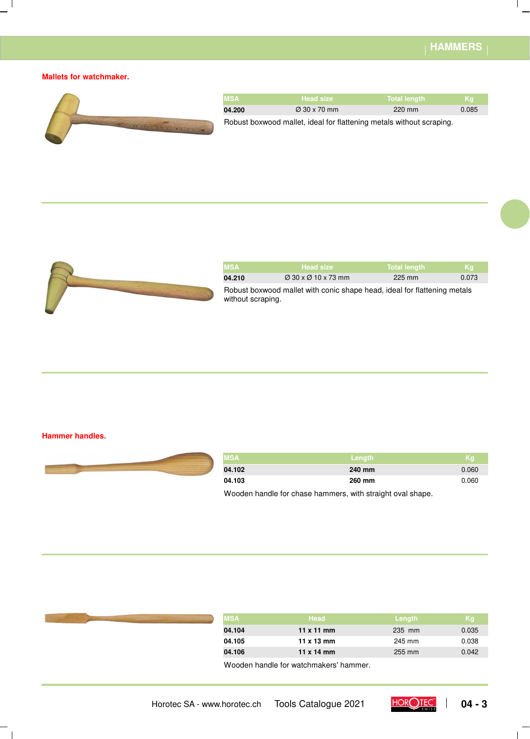$\overline{\phantom{a}}$ 

### **Mallets for watchmaker.**

 $\overline{\phantom{a}}$ 



| <b>MSA</b> | <b>Head size</b>                                                     | Total length | ⊦Ka'  |
|------------|----------------------------------------------------------------------|--------------|-------|
| 04.200     | $\varnothing$ 30 x 70 mm                                             | $220$ mm     | 0.085 |
|            | Robust boxwood mallet, ideal for flattening metals without scraping. |              |       |



| <b>MSA</b>                                                                                    | <b>Head size</b>                            | <b>Total length</b> | Kq.   |  |
|-----------------------------------------------------------------------------------------------|---------------------------------------------|---------------------|-------|--|
| 04.210                                                                                        | $\varnothing$ 30 x $\varnothing$ 10 x 73 mm | 225 mm              | 0.073 |  |
| Robust boxwood mallet with conic shape head, ideal for flattening metals<br>without scraping. |                                             |                     |       |  |

### **Hammer handles.**

 $\Box$ 



| <b>MSA</b> | ⊾Length <sup>∖</sup> | Kg'   |
|------------|----------------------|-------|
| 04.102     | 240 mm               | 0.060 |
| 04.103     | 260 mm               | 0.060 |

Wooden handle for chase hammers, with straight oval shape.

| MSA,   | Head                                   | Length | Kg    |
|--------|----------------------------------------|--------|-------|
| 04.104 | $11 \times 11$ mm                      | 235 mm | 0.035 |
| 04.105 | $11 \times 13$ mm                      | 245 mm | 0.038 |
| 04.106 | $11 \times 14$ mm                      | 255 mm | 0.042 |
|        | Wooden handle for watchmakers' hammer. |        |       |

Horotec SA - www.horotec.ch Tools Catalogue 2021 **DOROTEC** | 04 - 3

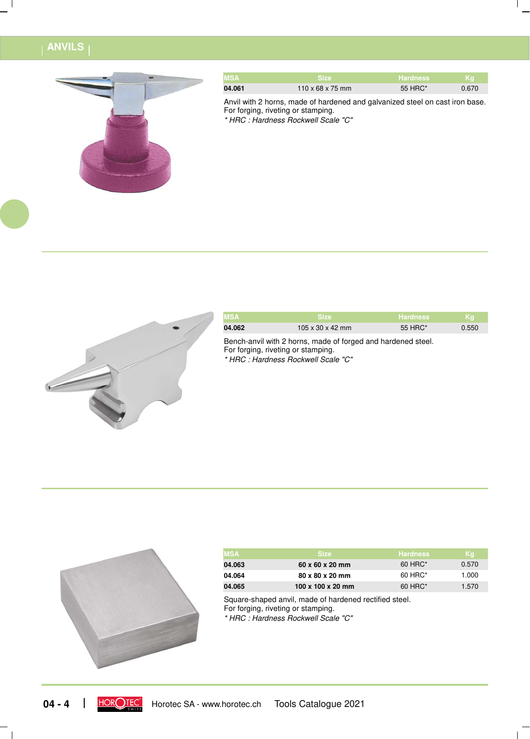### **ANVILS**



| <b>MSA</b> | <b>Size</b>                  | <b>Hardness</b> | ⊾Ka\  |
|------------|------------------------------|-----------------|-------|
| 04.061     | $110 \times 68 \times 75$ mm | 55 HRC*         | 0.670 |

Anvil with 2 horns, made of hardened and galvanized steel on cast iron base. For forging, riveting or stamping.

*\* HRC : Hardness Rockwell Scale "C"*



| <b>MSA</b> | <b>TSize</b>     | <b>Hardness</b> | -Kal  |
|------------|------------------|-----------------|-------|
| 04.062     | 105 x 30 x 42 mm | 55 HRC*         | 0.550 |
|            |                  |                 |       |

*\* HRC : Hardness Rockwell Scale "C"* Bench-anvil with 2 horns, made of forged and hardened steel. For forging, riveting or stamping.



| MSA    | <b>Size</b>                 | <b>Hardness</b> | Kg    |
|--------|-----------------------------|-----------------|-------|
| 04.063 | $60 \times 60 \times 20$ mm | $60$ HRC*       | 0.570 |
| 04.064 | 80 x 80 x 20 mm             | 60 HRC*         | 1.000 |
| 04.065 | 100 x 100 x 20 mm           | $60$ HRC*       | 1.570 |

Square-shaped anvil, made of hardened rectified steel. For forging, riveting or stamping.

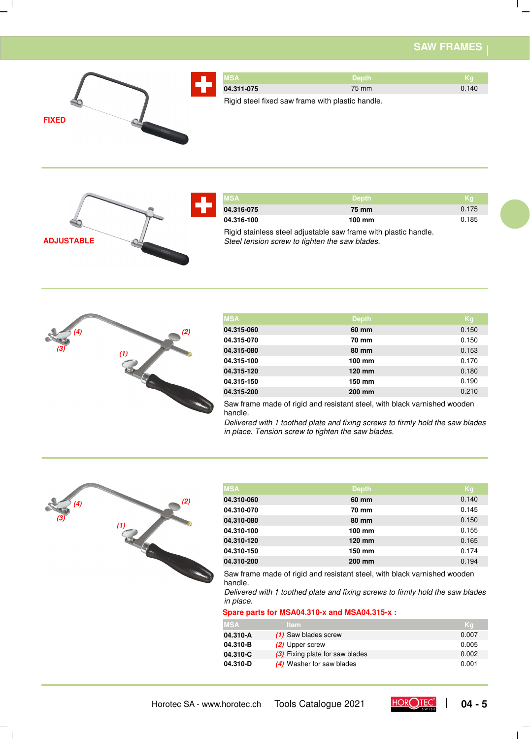# **SAW FRAMES**



| <b>IMSA</b>                                      | <b>Depth</b> | ı Ka  |
|--------------------------------------------------|--------------|-------|
| 04.311-075                                       | 75 mm        | 0.140 |
| Rigid steel fixed saw frame with plastic handle. |              |       |

**ADJUSTABLE**

| <b>MSAZ</b> | <b>Depth</b>                                                    | ι Κα  |
|-------------|-----------------------------------------------------------------|-------|
| 04.316-075  | 75 mm                                                           | 0.175 |
| 04.316-100  | 100 mm                                                          | 0.185 |
|             | Rigid stainless steel adjustable saw frame with plastic handle. |       |

*Steel tension screw to tighten the saw blades.*



| <b>MSA</b> | <b>Depth</b>     | Kg    |
|------------|------------------|-------|
| 04.315-060 | 60 mm            | 0.150 |
| 04.315-070 | 70 mm            | 0.150 |
| 04.315-080 | 80 mm            | 0.153 |
| 04.315-100 | 100 mm           | 0.170 |
| 04.315-120 | $120 \text{ mm}$ | 0.180 |
| 04.315-150 | 150 mm           | 0.190 |
| 04.315-200 | 200 mm           | 0.210 |

Saw frame made of rigid and resistant steel, with black varnished wooden handle.

*Delivered with 1 toothed plate and fixing screws to firmly hold the saw blades in place. Tension screw to tighten the saw blades.*



| <b>MSA</b> | <b>Depth</b>     | Kg    |
|------------|------------------|-------|
| 04.310-060 | 60 mm            | 0.140 |
| 04.310-070 | 70 mm            | 0.145 |
| 04.310-080 | 80 mm            | 0.150 |
| 04.310-100 | $100 \text{ mm}$ | 0.155 |
| 04.310-120 | 120 mm           | 0.165 |
| 04.310-150 | 150 mm           | 0.174 |
| 04.310-200 | 200 mm           | 0.194 |

Saw frame made of rigid and resistant steel, with black varnished wooden handle.

*Delivered with 1 toothed plate and fixing screws to firmly hold the saw blades in place.*

#### **Spare parts for MSA04.310-x and MSA04.315-x :**

| MSA      | ltem.                           |       |
|----------|---------------------------------|-------|
| 04.310-A | (1) Saw blades screw            | 0.007 |
| 04.310-B | (2) Upper screw                 | 0.005 |
| 04.310-C | (3) Fixing plate for saw blades | 0.002 |
| 04.310-D | (4) Washer for saw blades       | 0.001 |





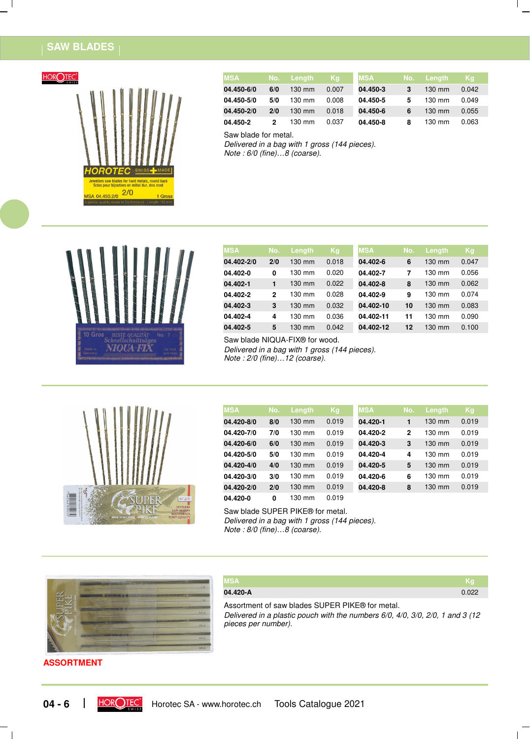# **SAW BLADES**



| <b>MSA</b> | No. | Lenath           | /Kq   | <b>MSA</b> | No. | Lenath           | Kq    |
|------------|-----|------------------|-------|------------|-----|------------------|-------|
| 04.450-6/0 | 6/0 | $130 \text{ mm}$ | 0.007 | 04.450-3   | 3   | $130 \text{ mm}$ | 0.042 |
| 04.450-5/0 | 5/0 | $130 \text{ mm}$ | 0.008 | 04.450-5   | 5   | 130 mm           | 0.049 |
| 04.450-2/0 | 2/0 | $130 \text{ mm}$ | 0.018 | 04.450-6   | 6   | $130 \text{ mm}$ | 0.055 |
| 04.450-2   | 2   | 130 mm           | 0.037 | 04.450-8   | 8   | $130 \text{ mm}$ | 0.063 |

Saw blade for metal.

*Delivered in a bag with 1 gross (144 pieces).*

*Note : 6/0 (fine)…8 (coarse).*



| <b>MSA</b> | No.          | Length           | Kg    | <b>MSA</b> | No. | Length           | Kg    |
|------------|--------------|------------------|-------|------------|-----|------------------|-------|
| 04.402-2/0 | 2/0          | $130 \text{ mm}$ | 0.018 | 04.402-6   | 6   | $130 \text{ mm}$ | 0.047 |
| 04.402-0   | 0            | 130 mm           | 0.020 | 04.402-7   | 7   | 130 mm           | 0.056 |
| 04.402-1   | 1            | $130 \text{ mm}$ | 0.022 | 04.402-8   | 8   | $130 \text{ mm}$ | 0.062 |
| 04.402-2   | $\mathbf{2}$ | 130 mm           | 0.028 | 04.402-9   | 9   | 130 mm           | 0.074 |
| 04.402-3   | 3            | $130 \text{ mm}$ | 0.032 | 04.402-10  | 10  | $130$ mm         | 0.083 |
| 04.402-4   | 4            | 130 mm           | 0.036 | 04.402-11  | 11  | 130 mm           | 0.090 |
| 04.402-5   | 5            | 130 mm           | 0.042 | 04.402-12  | 12  | 130 mm           | 0.100 |

Saw blade NIQUA-FIX® for wood.

*Delivered in a bag with 1 gross (144 pieces). Note : 2/0 (fine)…12 (coarse).*



| <b>MSA</b> | No. | Length           | Kg    | <b>MSA</b> | No.          | Length           | Kg    |
|------------|-----|------------------|-------|------------|--------------|------------------|-------|
| 04.420-8/0 | 8/0 | $130 \text{ mm}$ | 0.019 | 04.420-1   | 1            | $130 \text{ mm}$ | 0.019 |
| 04.420-7/0 | 7/0 | 130 mm           | 0.019 | 04.420-2   | $\mathbf{2}$ | $130 \text{ mm}$ | 0.019 |
| 04.420-6/0 | 6/0 | $130 \text{ mm}$ | 0.019 | 04.420-3   | 3            | $130 \text{ mm}$ | 0.019 |
| 04.420-5/0 | 5/0 | $130 \text{ mm}$ | 0.019 | 04.420-4   | 4            | $130 \text{ mm}$ | 0.019 |
| 04.420-4/0 | 4/0 | $130 \text{ mm}$ | 0.019 | 04.420-5   | 5            | $130 \text{ mm}$ | 0.019 |
| 04.420-3/0 | 3/0 | 130 mm           | 0.019 | 04.420-6   | 6            | $130 \text{ mm}$ | 0.019 |
| 04.420-2/0 | 2/0 | 130 mm           | 0.019 | 04.420-8   | 8            | 130 mm           | 0.019 |
| 04.420-0   | 0   | $130 \text{ mm}$ | 0.019 |            |              |                  |       |

*Delivered in a bag with 1 gross (144 pieces). Note : 8/0 (fine)…8 (coarse).* Saw blade SUPER PIKE® for metal.



**MSA Kg 04.420-A** 0.022

*Delivered in a plastic pouch with the numbers 6/0, 4/0, 3/0, 2/0, 1 and 3 (12 pieces per number).* Assortment of saw blades SUPER PIKE® for metal.

### **ASSORTMENT**

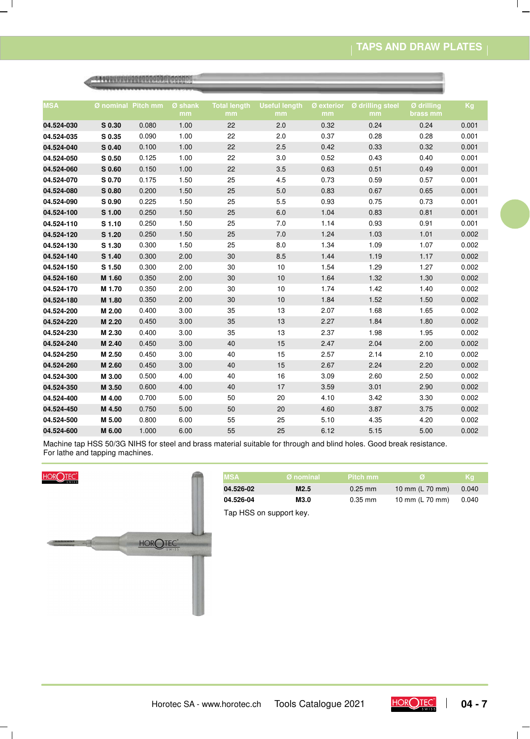# **TAPS AND DRAW PLATES**

 $\mathsf{I}$ 

| <b>MSA</b> | Ø nominal Pitch mm |       | Ø shank<br>mm | <b>Total length</b><br>mm | <b>Useful length</b><br>mm | Ø exterior<br>mm | Ø drilling steel<br>mm | Ø drilling<br>brass mm | Kg    |
|------------|--------------------|-------|---------------|---------------------------|----------------------------|------------------|------------------------|------------------------|-------|
| 04.524-030 | S 0.30             | 0.080 | 1.00          | 22                        | 2.0                        | 0.32             | 0.24                   | 0.24                   | 0.001 |
| 04.524-035 | S 0.35             | 0.090 | 1.00          | 22                        | 2.0                        | 0.37             | 0.28                   | 0.28                   | 0.001 |
| 04.524-040 | S 0.40             | 0.100 | 1.00          | 22                        | 2.5                        | 0.42             | 0.33                   | 0.32                   | 0.001 |
| 04.524-050 | S <sub>0.50</sub>  | 0.125 | 1.00          | 22                        | 3.0                        | 0.52             | 0.43                   | 0.40                   | 0.001 |
| 04.524-060 | S 0.60             | 0.150 | 1.00          | 22                        | 3.5                        | 0.63             | 0.51                   | 0.49                   | 0.001 |
| 04.524-070 | S 0.70             | 0.175 | 1.50          | 25                        | 4.5                        | 0.73             | 0.59                   | 0.57                   | 0.001 |
| 04.524-080 | S 0.80             | 0.200 | 1.50          | 25                        | 5.0                        | 0.83             | 0.67                   | 0.65                   | 0.001 |
| 04.524-090 | S 0.90             | 0.225 | 1.50          | 25                        | 5.5                        | 0.93             | 0.75                   | 0.73                   | 0.001 |
| 04.524-100 | S 1.00             | 0.250 | 1.50          | 25                        | $6.0\,$                    | 1.04             | 0.83                   | 0.81                   | 0.001 |
| 04.524-110 | S 1.10             | 0.250 | 1.50          | 25                        | 7.0                        | 1.14             | 0.93                   | 0.91                   | 0.001 |
| 04.524-120 | S 1.20             | 0.250 | 1.50          | 25                        | 7.0                        | 1.24             | 1.03                   | 1.01                   | 0.002 |
| 04.524-130 | S 1.30             | 0.300 | 1.50          | 25                        | 8.0                        | 1.34             | 1.09                   | 1.07                   | 0.002 |
| 04.524-140 | S 1.40             | 0.300 | 2.00          | 30                        | 8.5                        | 1.44             | 1.19                   | 1.17                   | 0.002 |
| 04.524-150 | S 1.50             | 0.300 | 2.00          | 30                        | 10                         | 1.54             | 1.29                   | 1.27                   | 0.002 |
| 04.524-160 | M 1.60             | 0.350 | 2.00          | 30                        | 10                         | 1.64             | 1.32                   | 1.30                   | 0.002 |
| 04.524-170 | M 1.70             | 0.350 | 2.00          | 30                        | 10                         | 1.74             | 1.42                   | 1.40                   | 0.002 |
| 04.524-180 | M 1.80             | 0.350 | 2.00          | 30                        | 10                         | 1.84             | 1.52                   | 1.50                   | 0.002 |
| 04.524-200 | M 2.00             | 0.400 | 3.00          | 35                        | 13                         | 2.07             | 1.68                   | 1.65                   | 0.002 |
| 04.524-220 | M 2.20             | 0.450 | 3.00          | 35                        | 13                         | 2.27             | 1.84                   | 1.80                   | 0.002 |
| 04.524-230 | M 2.30             | 0.400 | 3.00          | 35                        | 13                         | 2.37             | 1.98                   | 1.95                   | 0.002 |
| 04.524-240 | M 2.40             | 0.450 | 3.00          | 40                        | 15                         | 2.47             | 2.04                   | 2.00                   | 0.002 |
| 04.524-250 | M 2.50             | 0.450 | 3.00          | 40                        | 15                         | 2.57             | 2.14                   | 2.10                   | 0.002 |
| 04.524-260 | M 2.60             | 0.450 | 3.00          | 40                        | 15                         | 2.67             | 2.24                   | 2.20                   | 0.002 |
| 04.524-300 | M 3.00             | 0.500 | 4.00          | 40                        | 16                         | 3.09             | 2.60                   | 2.50                   | 0.002 |
| 04.524-350 | M 3.50             | 0.600 | 4.00          | 40                        | 17                         | 3.59             | 3.01                   | 2.90                   | 0.002 |
| 04.524-400 | M 4.00             | 0.700 | 5.00          | 50                        | 20                         | 4.10             | 3.42                   | 3.30                   | 0.002 |
| 04.524-450 | M 4.50             | 0.750 | 5.00          | 50                        | 20                         | 4.60             | 3.87                   | 3.75                   | 0.002 |
| 04.524-500 | M 5.00             | 0.800 | 6.00          | 55                        | 25                         | 5.10             | 4.35                   | 4.20                   | 0.002 |
| 04.524-600 | M 6.00             | 1.000 | 6.00          | 55                        | 25                         | 6.12             | 5.15                   | 5.00                   | 0.002 |

Machine tap HSS 50/3G NIHS for steel and brass material suitable for through and blind holes. Good break resistance. For lathe and tapping machines.



 $\overline{\phantom{a}}$ 

 $\overline{\phantom{a}}$ 

| <b>MSA</b>              | Ø nominal        | Pitch mm  | Ø               | <b>Kg</b> |
|-------------------------|------------------|-----------|-----------------|-----------|
| 04.526-02               | M <sub>2.5</sub> | $0.25$ mm | 10 mm (L 70 mm) | 0.040     |
| 04.526-04               | M3.0             | $0.35$ mm | 10 mm (L 70 mm) | 0.040     |
| Tap HSS on support key. |                  |           |                 |           |